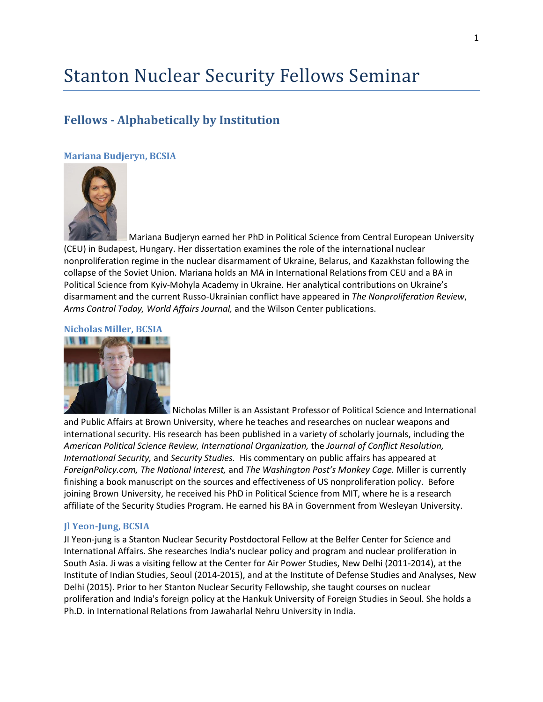# Stanton Nuclear Security Fellows Seminar

# **Fellows - Alphabetically by Institution**

# **Mariana Budjeryn, BCSIA**



Mariana Budjeryn earned her PhD in Political Science from Central European University (CEU) in Budapest, Hungary. Her dissertation examines the role of the international nuclear nonproliferation regime in the nuclear disarmament of Ukraine, Belarus, and Kazakhstan following the collapse of the Soviet Union. Mariana holds an MA in International Relations from CEU and a BA in Political Science from Kyiv-Mohyla Academy in Ukraine. Her analytical contributions on Ukraine's disarmament and the current Russo-Ukrainian conflict have appeared in *The Nonproliferation Review*, *Arms Control Today, World Affairs Journal,* and the Wilson Center publications.

### **Nicholas Miller, BCSIA**



Nicholas Miller is an Assistant Professor of Political Science and International and Public Affairs at Brown University, where he teaches and researches on nuclear weapons and international security. His research has been published in a variety of scholarly journals, including the *American Political Science Review, International Organization,* the *Journal of Conflict Resolution, International Security,* and *Security Studies.* His commentary on public affairs has appeared at *ForeignPolicy.com, The National Interest,* and *The Washington Post's Monkey Cage.* Miller is currently finishing a book manuscript on the sources and effectiveness of US nonproliferation policy. Before joining Brown University, he received his PhD in Political Science from MIT, where he is a research affiliate of the Security Studies Program. He earned his BA in Government from Wesleyan University.

## **Jl Yeon-Jung, BCSIA**

JI Yeon-jung is a Stanton Nuclear Security Postdoctoral Fellow at the Belfer Center for Science and International Affairs. She researches India's nuclear policy and program and nuclear proliferation in South Asia. Ji was a visiting fellow at the Center for Air Power Studies, New Delhi (2011-2014), at the Institute of Indian Studies, Seoul (2014-2015), and at the Institute of Defense Studies and Analyses, New Delhi (2015). Prior to her Stanton Nuclear Security Fellowship, she taught courses on nuclear proliferation and India's foreign policy at the Hankuk University of Foreign Studies in Seoul. She holds a Ph.D. in International Relations from Jawaharlal Nehru University in India.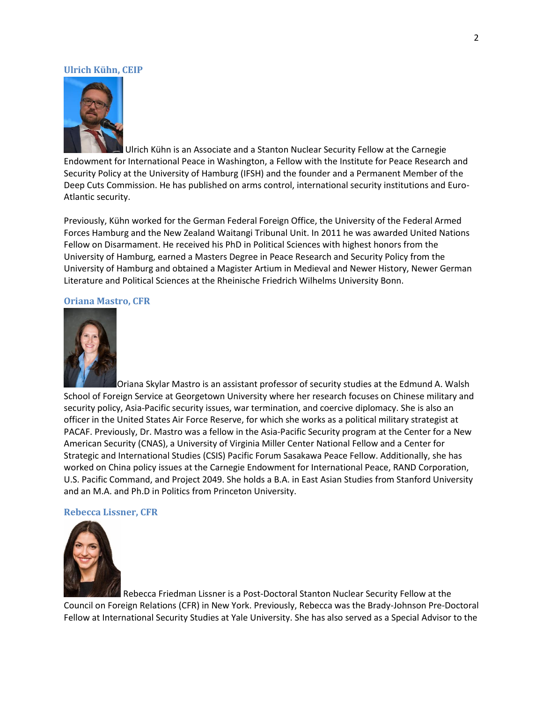#### **Ulrich Kühn, CEIP**



Ulrich Kühn is an Associate and a Stanton Nuclear Security Fellow at the Carnegie Endowment for International Peace in Washington, a Fellow with the Institute for Peace Research and Security Policy at the University of Hamburg (IFSH) and the founder and a Permanent Member of the Deep Cuts Commission. He has published on arms control, international security institutions and Euro-Atlantic security.

Previously, Kühn worked for the German Federal Foreign Office, the University of the Federal Armed Forces Hamburg and the New Zealand Waitangi Tribunal Unit. In 2011 he was awarded United Nations Fellow on Disarmament. He received his PhD in Political Sciences with highest honors from the University of Hamburg, earned a Masters Degree in Peace Research and Security Policy from the University of Hamburg and obtained a Magister Artium in Medieval and Newer History, Newer German Literature and Political Sciences at the Rheinische Friedrich Wilhelms University Bonn.

#### **Oriana Mastro, CFR**



Oriana Skylar Mastro is an assistant professor of security studies at the Edmund A. Walsh School of Foreign Service at Georgetown University where her research focuses on Chinese military and security policy, Asia-Pacific security issues, war termination, and coercive diplomacy. She is also an officer in the United States Air Force Reserve, for which she works as a political military strategist at PACAF. Previously, Dr. Mastro was a fellow in the Asia-Pacific Security program at the Center for a New American Security (CNAS), a University of Virginia Miller Center National Fellow and a Center for Strategic and International Studies (CSIS) Pacific Forum Sasakawa Peace Fellow. Additionally, she has worked on China policy issues at the Carnegie Endowment for International Peace, RAND Corporation, U.S. Pacific Command, and Project 2049. She holds a B.A. in East Asian Studies from Stanford University and an M.A. and Ph.D in Politics from Princeton University.

#### **Rebecca Lissner, CFR**



Rebecca Friedman Lissner is a Post-Doctoral Stanton Nuclear Security Fellow at the Council on Foreign Relations (CFR) in New York. Previously, Rebecca was the Brady-Johnson Pre-Doctoral Fellow at International Security Studies at Yale University. She has also served as a Special Advisor to the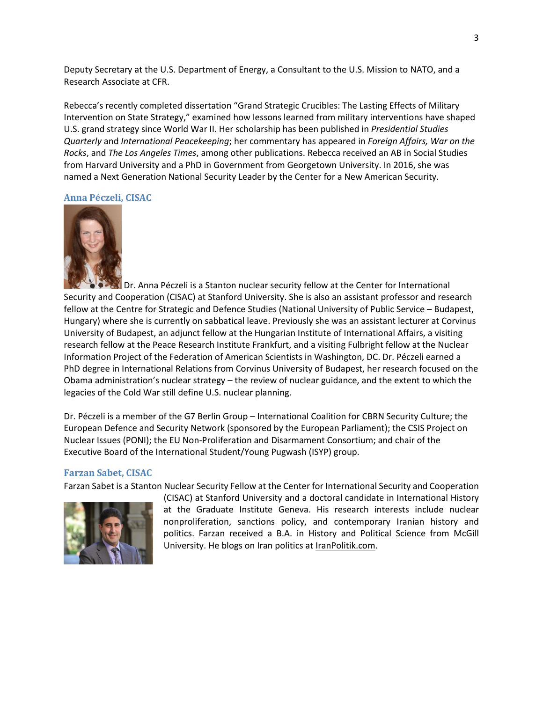Deputy Secretary at the U.S. Department of Energy, a Consultant to the U.S. Mission to NATO, and a Research Associate at CFR.

Rebecca's recently completed dissertation "Grand Strategic Crucibles: The Lasting Effects of Military Intervention on State Strategy," examined how lessons learned from military interventions have shaped U.S. grand strategy since World War II. Her scholarship has been published in *Presidential Studies Quarterly* and *International Peacekeeping*; her commentary has appeared in *Foreign Affairs, War on the Rocks*, and *The Los Angeles Times*, among other publications. Rebecca received an AB in Social Studies from Harvard University and a PhD in Government from Georgetown University. In 2016, she was named a Next Generation National Security Leader by the Center for a New American Security.

#### **Anna Péczeli, CISAC**



Dr. Anna Péczeli is a Stanton nuclear security fellow at the Center for International Security and Cooperation (CISAC) at Stanford University. She is also an assistant professor and research fellow at the Centre for Strategic and Defence Studies (National University of Public Service – Budapest, Hungary) where she is currently on sabbatical leave. Previously she was an assistant lecturer at Corvinus University of Budapest, an adjunct fellow at the Hungarian Institute of International Affairs, a visiting research fellow at the Peace Research Institute Frankfurt, and a visiting Fulbright fellow at the Nuclear Information Project of the Federation of American Scientists in Washington, DC. Dr. Péczeli earned a PhD degree in International Relations from Corvinus University of Budapest, her research focused on the Obama administration's nuclear strategy – the review of nuclear guidance, and the extent to which the legacies of the Cold War still define U.S. nuclear planning.

Dr. Péczeli is a member of the G7 Berlin Group – International Coalition for CBRN Security Culture; the European Defence and Security Network (sponsored by the European Parliament); the CSIS Project on Nuclear Issues (PONI); the EU Non-Proliferation and Disarmament Consortium; and chair of the Executive Board of the International Student/Young Pugwash (ISYP) group.

#### **Farzan Sabet, CISAC**

Farzan Sabet is a Stanton Nuclear Security Fellow at the Center for International Security and Cooperation



(CISAC) at Stanford University and a doctoral candidate in International History at the Graduate Institute Geneva. His research interests include nuclear nonproliferation, sanctions policy, and contemporary Iranian history and politics. Farzan received a B.A. in History and Political Science from McGill University. He blogs on Iran politics at [IranPolitik.com.](http://iranpolitik.com/)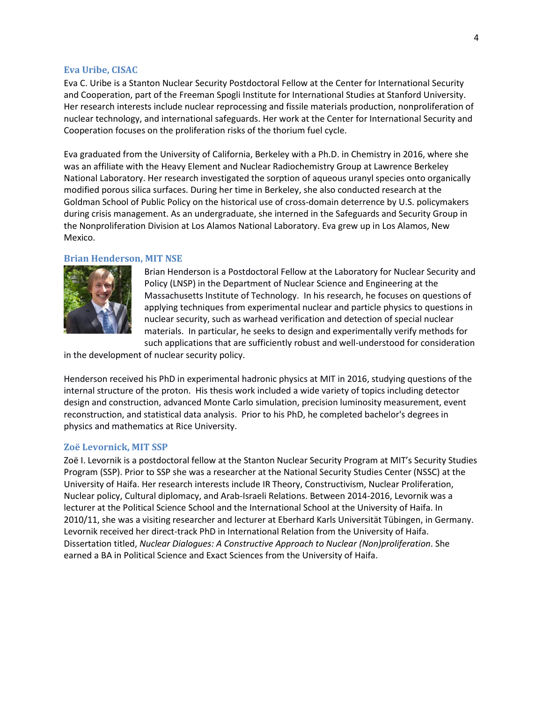#### **Eva Uribe, CISAC**

Eva C. Uribe is a Stanton Nuclear Security Postdoctoral Fellow at the Center for International Security and Cooperation, part of the Freeman Spogli Institute for International Studies at Stanford University. Her research interests include nuclear reprocessing and fissile materials production, nonproliferation of nuclear technology, and international safeguards. Her work at the Center for International Security and Cooperation focuses on the proliferation risks of the thorium fuel cycle.

Eva graduated from the University of California, Berkeley with a Ph.D. in Chemistry in 2016, where she was an affiliate with the Heavy Element and Nuclear Radiochemistry Group at Lawrence Berkeley National Laboratory. Her research investigated the sorption of aqueous uranyl species onto organically modified porous silica surfaces. During her time in Berkeley, she also conducted research at the Goldman School of Public Policy on the historical use of cross-domain deterrence by U.S. policymakers during crisis management. As an undergraduate, she interned in the Safeguards and Security Group in the Nonproliferation Division at Los Alamos National Laboratory. Eva grew up in Los Alamos, New Mexico.

#### **Brian Henderson, MIT NSE**



Brian Henderson is a Postdoctoral Fellow at the Laboratory for Nuclear Security and Policy (LNSP) in the Department of Nuclear Science and Engineering at the Massachusetts Institute of Technology. In his research, he focuses on questions of applying techniques from experimental nuclear and particle physics to questions in nuclear security, such as warhead verification and detection of special nuclear materials. In particular, he seeks to design and experimentally verify methods for such applications that are sufficiently robust and well-understood for consideration

in the development of nuclear security policy.

Henderson received his PhD in experimental hadronic physics at MIT in 2016, studying questions of the internal structure of the proton. His thesis work included a wide variety of topics including detector design and construction, advanced Monte Carlo simulation, precision luminosity measurement, event reconstruction, and statistical data analysis. Prior to his PhD, he completed bachelor's degrees in physics and mathematics at Rice University.

#### **Zoë Levornick, MIT SSP**

Zoë I. Levornik is a postdoctoral fellow at the Stanton Nuclear Security Program at MIT's Security Studies Program (SSP). Prior to SSP she was a researcher at the National Security Studies Center (NSSC) at the University of Haifa. Her research interests include IR Theory, Constructivism, Nuclear Proliferation, Nuclear policy, Cultural diplomacy, and Arab-Israeli Relations. Between 2014-2016, Levornik was a lecturer at the Political Science School and the International School at the University of Haifa. In 2010/11, she was a visiting researcher and lecturer at Eberhard Karls Universität Tübingen, in Germany. Levornik received her direct-track PhD in International Relation from the University of Haifa. Dissertation titled, *Nuclear Dialogues: A Constructive Approach to Nuclear (Non)proliferation*. She earned a BA in Political Science and Exact Sciences from the University of Haifa.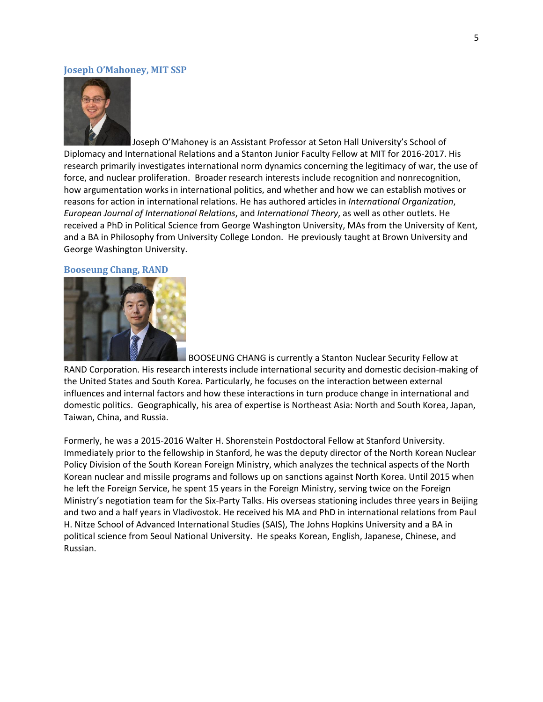#### **Joseph O'Mahoney, MIT SSP**



Joseph O'Mahoney is an Assistant Professor at Seton Hall University's School of Diplomacy and International Relations and a Stanton Junior Faculty Fellow at MIT for 2016-2017. His research primarily investigates international norm dynamics concerning the legitimacy of war, the use of force, and nuclear proliferation. Broader research interests include recognition and nonrecognition, how argumentation works in international politics, and whether and how we can establish motives or reasons for action in international relations. He has authored articles in *International Organization*, *European Journal of International Relations*, and *International Theory*, as well as other outlets. He received a PhD in Political Science from George Washington University, MAs from the University of Kent, and a BA in Philosophy from University College London. He previously taught at Brown University and George Washington University.

#### **Booseung Chang, RAND**



BOOSEUNG CHANG is currently a Stanton Nuclear Security Fellow at

RAND Corporation. His research interests include international security and domestic decision-making of the United States and South Korea. Particularly, he focuses on the interaction between external influences and internal factors and how these interactions in turn produce change in international and domestic politics. Geographically, his area of expertise is Northeast Asia: North and South Korea, Japan, Taiwan, China, and Russia.

Formerly, he was a 2015-2016 Walter H. Shorenstein Postdoctoral Fellow at Stanford University. Immediately prior to the fellowship in Stanford, he was the deputy director of the North Korean Nuclear Policy Division of the South Korean Foreign Ministry, which analyzes the technical aspects of the North Korean nuclear and missile programs and follows up on sanctions against North Korea. Until 2015 when he left the Foreign Service, he spent 15 years in the Foreign Ministry, serving twice on the Foreign Ministry's negotiation team for the Six-Party Talks. His overseas stationing includes three years in Beijing and two and a half years in Vladivostok. He received his MA and PhD in international relations from Paul H. Nitze School of Advanced International Studies (SAIS), The Johns Hopkins University and a BA in political science from Seoul National University. He speaks Korean, English, Japanese, Chinese, and Russian.